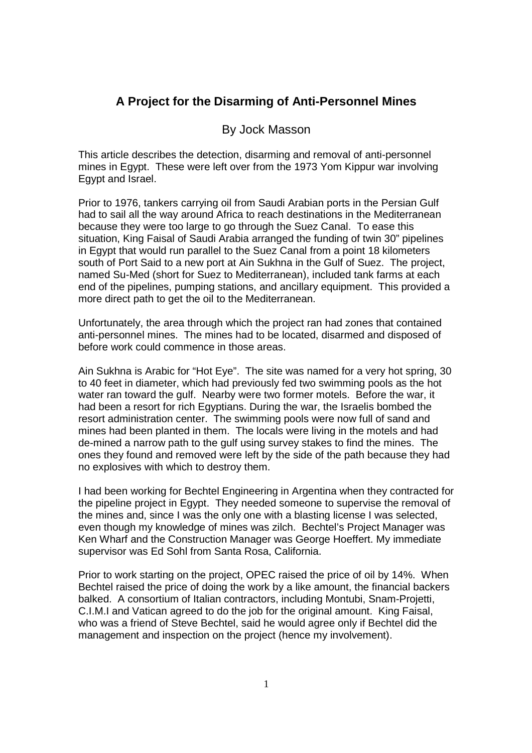## **A Project for the Disarming of Anti-Personnel Mines**

## By Jock Masson

This article describes the detection, disarming and removal of anti-personnel mines in Egypt. These were left over from the 1973 Yom Kippur war involving Egypt and Israel.

Prior to 1976, tankers carrying oil from Saudi Arabian ports in the Persian Gulf had to sail all the way around Africa to reach destinations in the Mediterranean because they were too large to go through the Suez Canal. To ease this situation, King Faisal of Saudi Arabia arranged the funding of twin 30" pipelines in Egypt that would run parallel to the Suez Canal from a point 18 kilometers south of Port Said to a new port at Ain Sukhna in the Gulf of Suez. The project, named Su-Med (short for Suez to Mediterranean), included tank farms at each end of the pipelines, pumping stations, and ancillary equipment. This provided a more direct path to get the oil to the Mediterranean.

Unfortunately, the area through which the project ran had zones that contained anti-personnel mines. The mines had to be located, disarmed and disposed of before work could commence in those areas.

Ain Sukhna is Arabic for "Hot Eye". The site was named for a very hot spring, 30 to 40 feet in diameter, which had previously fed two swimming pools as the hot water ran toward the gulf. Nearby were two former motels. Before the war, it had been a resort for rich Egyptians. During the war, the Israelis bombed the resort administration center. The swimming pools were now full of sand and mines had been planted in them. The locals were living in the motels and had de-mined a narrow path to the gulf using survey stakes to find the mines. The ones they found and removed were left by the side of the path because they had no explosives with which to destroy them.

I had been working for Bechtel Engineering in Argentina when they contracted for the pipeline project in Egypt. They needed someone to supervise the removal of the mines and, since I was the only one with a blasting license I was selected, even though my knowledge of mines was zilch. Bechtel's Project Manager was Ken Wharf and the Construction Manager was George Hoeffert. My immediate supervisor was Ed Sohl from Santa Rosa, California.

Prior to work starting on the project, OPEC raised the price of oil by 14%. When Bechtel raised the price of doing the work by a like amount, the financial backers balked. A consortium of Italian contractors, including Montubi, Snam-Projetti, C.I.M.I and Vatican agreed to do the job for the original amount. King Faisal, who was a friend of Steve Bechtel, said he would agree only if Bechtel did the management and inspection on the project (hence my involvement).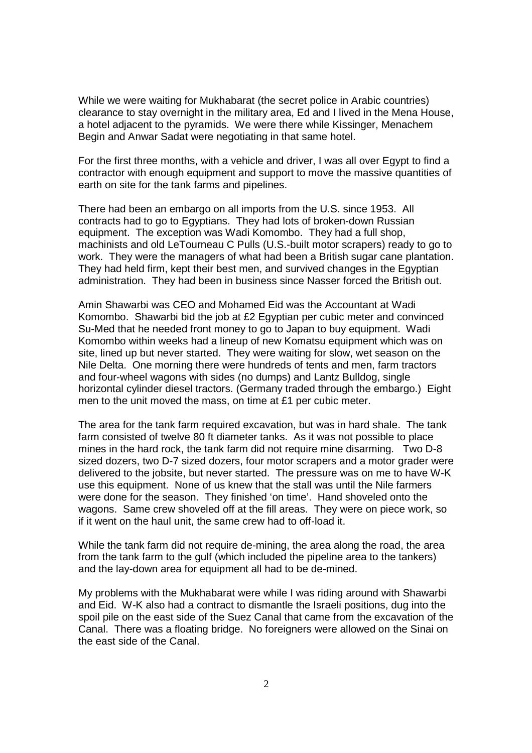While we were waiting for Mukhabarat (the secret police in Arabic countries) clearance to stay overnight in the military area, Ed and I lived in the Mena House, a hotel adjacent to the pyramids. We were there while Kissinger, Menachem Begin and Anwar Sadat were negotiating in that same hotel.

For the first three months, with a vehicle and driver, I was all over Egypt to find a contractor with enough equipment and support to move the massive quantities of earth on site for the tank farms and pipelines.

There had been an embargo on all imports from the U.S. since 1953. All contracts had to go to Egyptians. They had lots of broken-down Russian equipment. The exception was Wadi Komombo. They had a full shop, machinists and old LeTourneau C Pulls (U.S.-built motor scrapers) ready to go to work. They were the managers of what had been a British sugar cane plantation. They had held firm, kept their best men, and survived changes in the Egyptian administration. They had been in business since Nasser forced the British out.

Amin Shawarbi was CEO and Mohamed Eid was the Accountant at Wadi Komombo. Shawarbi bid the job at £2 Egyptian per cubic meter and convinced Su-Med that he needed front money to go to Japan to buy equipment. Wadi Komombo within weeks had a lineup of new Komatsu equipment which was on site, lined up but never started. They were waiting for slow, wet season on the Nile Delta. One morning there were hundreds of tents and men, farm tractors and four-wheel wagons with sides (no dumps) and Lantz Bulldog, single horizontal cylinder diesel tractors. (Germany traded through the embargo.) Eight men to the unit moved the mass, on time at £1 per cubic meter.

The area for the tank farm required excavation, but was in hard shale. The tank farm consisted of twelve 80 ft diameter tanks. As it was not possible to place mines in the hard rock, the tank farm did not require mine disarming. Two D-8 sized dozers, two D-7 sized dozers, four motor scrapers and a motor grader were delivered to the jobsite, but never started. The pressure was on me to have W-K use this equipment. None of us knew that the stall was until the Nile farmers were done for the season. They finished 'on time'. Hand shoveled onto the wagons. Same crew shoveled off at the fill areas. They were on piece work, so if it went on the haul unit, the same crew had to off-load it.

While the tank farm did not require de-mining, the area along the road, the area from the tank farm to the gulf (which included the pipeline area to the tankers) and the lay-down area for equipment all had to be de-mined.

My problems with the Mukhabarat were while I was riding around with Shawarbi and Eid. W-K also had a contract to dismantle the Israeli positions, dug into the spoil pile on the east side of the Suez Canal that came from the excavation of the Canal. There was a floating bridge. No foreigners were allowed on the Sinai on the east side of the Canal.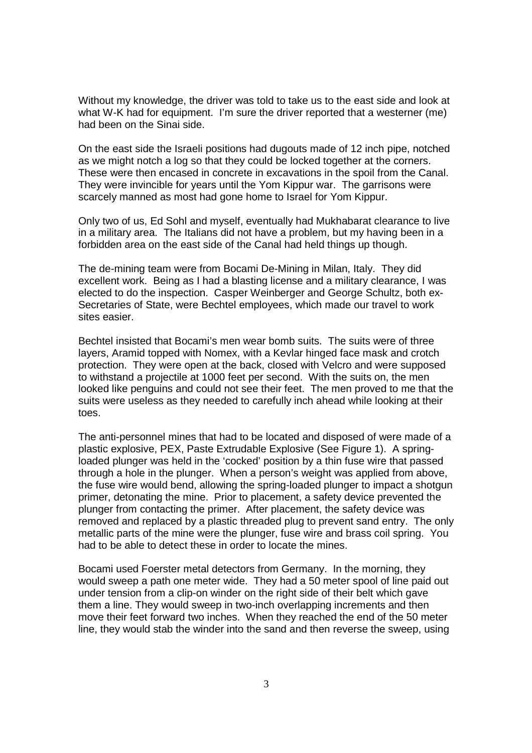Without my knowledge, the driver was told to take us to the east side and look at what W-K had for equipment. I'm sure the driver reported that a westerner (me) had been on the Sinai side.

On the east side the Israeli positions had dugouts made of 12 inch pipe, notched as we might notch a log so that they could be locked together at the corners. These were then encased in concrete in excavations in the spoil from the Canal. They were invincible for years until the Yom Kippur war. The garrisons were scarcely manned as most had gone home to Israel for Yom Kippur.

Only two of us, Ed Sohl and myself, eventually had Mukhabarat clearance to live in a military area. The Italians did not have a problem, but my having been in a forbidden area on the east side of the Canal had held things up though.

The de-mining team were from Bocami De-Mining in Milan, Italy. They did excellent work. Being as I had a blasting license and a military clearance, I was elected to do the inspection. Casper Weinberger and George Schultz, both ex-Secretaries of State, were Bechtel employees, which made our travel to work sites easier.

Bechtel insisted that Bocami's men wear bomb suits. The suits were of three layers, Aramid topped with Nomex, with a Kevlar hinged face mask and crotch protection. They were open at the back, closed with Velcro and were supposed to withstand a projectile at 1000 feet per second. With the suits on, the men looked like penguins and could not see their feet. The men proved to me that the suits were useless as they needed to carefully inch ahead while looking at their toes.

The anti-personnel mines that had to be located and disposed of were made of a plastic explosive, PEX, Paste Extrudable Explosive (See Figure 1). A springloaded plunger was held in the 'cocked' position by a thin fuse wire that passed through a hole in the plunger. When a person's weight was applied from above, the fuse wire would bend, allowing the spring-loaded plunger to impact a shotgun primer, detonating the mine. Prior to placement, a safety device prevented the plunger from contacting the primer. After placement, the safety device was removed and replaced by a plastic threaded plug to prevent sand entry. The only metallic parts of the mine were the plunger, fuse wire and brass coil spring. You had to be able to detect these in order to locate the mines.

Bocami used Foerster metal detectors from Germany. In the morning, they would sweep a path one meter wide. They had a 50 meter spool of line paid out under tension from a clip-on winder on the right side of their belt which gave them a line. They would sweep in two-inch overlapping increments and then move their feet forward two inches. When they reached the end of the 50 meter line, they would stab the winder into the sand and then reverse the sweep, using